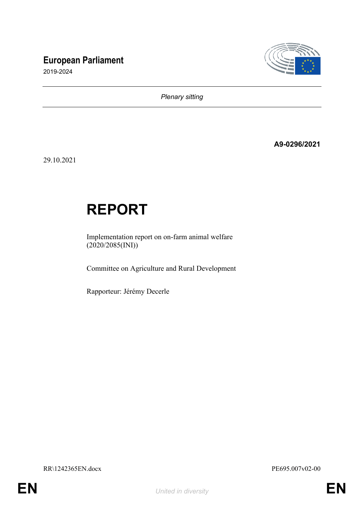# **European Parliament**

2019-2024



*Plenary sitting*

**A9-0296/2021**

29.10.2021

# **REPORT**

Implementation report on on-farm animal welfare (2020/2085(INI))

Committee on Agriculture and Rural Development

Rapporteur: Jérémy Decerle

RR\1242365EN.docx PE695.007v02-00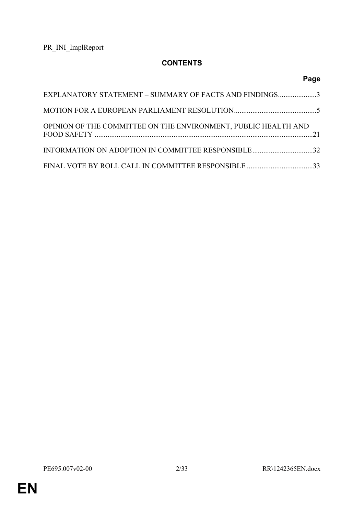# **CONTENTS**

|                                                                | Page |
|----------------------------------------------------------------|------|
| EXPLANATORY STATEMENT - SUMMARY OF FACTS AND FINDINGS3         |      |
|                                                                |      |
| OPINION OF THE COMMITTEE ON THE ENVIRONMENT, PUBLIC HEALTH AND |      |
| INFORMATION ON ADOPTION IN COMMITTEE RESPONSIBLE32             |      |
|                                                                |      |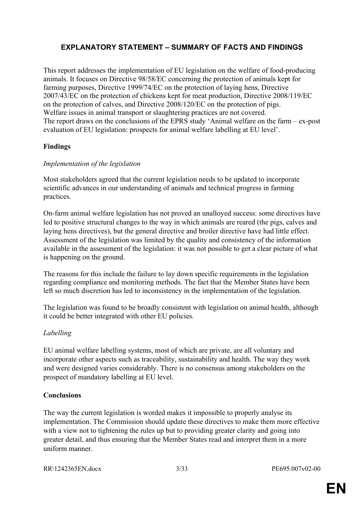# <span id="page-2-0"></span>**EXPLANATORY STATEMENT – SUMMARY OF FACTS AND FINDINGS**

This report addresses the implementation of EU legislation on the welfare of food-producing animals. It focuses on Directive 98/58/EC concerning the protection of animals kept for farming purposes, Directive 1999/74/EC on the protection of laying hens, Directive 2007/43/EC on the protection of chickens kept for meat production, Directive 2008/119/EC on the protection of calves, and Directive 2008/120/EC on the protection of pigs. Welfare issues in animal transport or slaughtering practices are not covered. The report draws on the conclusions of the EPRS study 'Animal welfare on the farm – ex-post evaluation of EU legislation: prospects for animal welfare labelling at EU level'.

#### **Findings**

#### *Implementation of the legislation*

Most stakeholders agreed that the current legislation needs to be updated to incorporate scientific advances in our understanding of animals and technical progress in farming practices.

On-farm animal welfare legislation has not proved an unalloyed success: some directives have led to positive structural changes to the way in which animals are reared (the pigs, calves and laying hens directives), but the general directive and broiler directive have had little effect. Assessment of the legislation was limited by the quality and consistency of the information available in the assessment of the legislation: it was not possible to get a clear picture of what is happening on the ground.

The reasons for this include the failure to lay down specific requirements in the legislation regarding compliance and monitoring methods. The fact that the Member States have been left so much discretion has led to inconsistency in the implementation of the legislation.

The legislation was found to be broadly consistent with legislation on animal health, although it could be better integrated with other EU policies.

#### *Labelling*

EU animal welfare labelling systems, most of which are private, are all voluntary and incorporate other aspects such as traceability, sustainability and health. The way they work and were designed varies considerably. There is no consensus among stakeholders on the prospect of mandatory labelling at EU level.

#### **Conclusions**

The way the current legislation is worded makes it impossible to properly analyse its implementation. The Commission should update these directives to make them more effective with a view not to tightening the rules up but to providing greater clarity and going into greater detail, and thus ensuring that the Member States read and interpret them in a more uniform manner.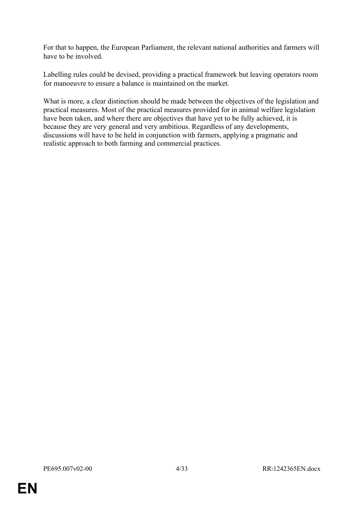For that to happen, the European Parliament, the relevant national authorities and farmers will have to be involved.

Labelling rules could be devised, providing a practical framework but leaving operators room for manoeuvre to ensure a balance is maintained on the market.

What is more, a clear distinction should be made between the objectives of the legislation and practical measures. Most of the practical measures provided for in animal welfare legislation have been taken, and where there are objectives that have yet to be fully achieved, it is because they are very general and very ambitious. Regardless of any developments, discussions will have to be held in conjunction with farmers, applying a pragmatic and realistic approach to both farming and commercial practices.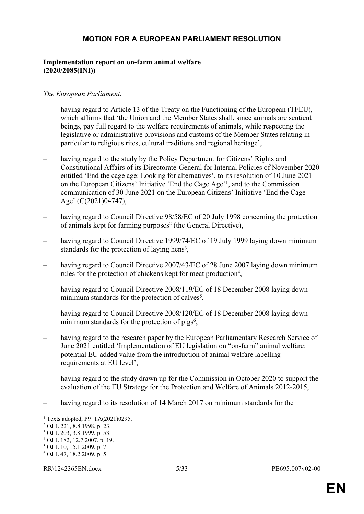## <span id="page-4-0"></span>**MOTION FOR A EUROPEAN PARLIAMENT RESOLUTION**

#### **Implementation report on on-farm animal welfare (2020/2085(INI))**

#### *The European Parliament*,

- having regard to Article 13 of the Treaty on the Functioning of the European (TFEU), which affirms that 'the Union and the Member States shall, since animals are sentient beings, pay full regard to the welfare requirements of animals, while respecting the legislative or administrative provisions and customs of the Member States relating in particular to religious rites, cultural traditions and regional heritage',
- having regard to the study by the Policy Department for Citizens' Rights and Constitutional Affairs of its Directorate-General for Internal Policies of November 2020 entitled 'End the cage age: Looking for alternatives', to its resolution of 10 June 2021 on the European Citizens' Initiative 'End the Cage Age'<sup>1</sup> , and to the Commission communication of 30 June 2021 on the European Citizens' Initiative 'End the Cage Age' (C(2021)04747),
- having regard to Council Directive 98/58/EC of 20 July 1998 concerning the protection of animals kept for farming purposes<sup>2</sup> (the General Directive),
- having regard to Council Directive 1999/74/EC of 19 July 1999 laying down minimum standards for the protection of laying hens<sup>3</sup>,
- having regard to Council Directive 2007/43/EC of 28 June 2007 laving down minimum rules for the protection of chickens kept for meat production<sup>4</sup>,
- having regard to Council Directive 2008/119/EC of 18 December 2008 laying down minimum standards for the protection of calves<sup>5</sup>,
- having regard to Council Directive 2008/120/EC of 18 December 2008 laying down minimum standards for the protection of  $pigs<sup>6</sup>$ ,
- having regard to the research paper by the European Parliamentary Research Service of June 2021 entitled 'Implementation of EU legislation on "on-farm" animal welfare: potential EU added value from the introduction of animal welfare labelling requirements at EU level',
- having regard to the study drawn up for the Commission in October 2020 to support the evaluation of the EU Strategy for the Protection and Welfare of Animals 2012-2015,
- having regard to its resolution of 14 March 2017 on minimum standards for the

<sup>1</sup> Texts adopted, P9\_TA(2021)0295.

<sup>2</sup> OJ L 221, 8.8.1998, p. 23.

<sup>3</sup> OJ L 203, 3.8.1999, p. 53.

<sup>4</sup> OJ L 182, 12.7.2007, p. 19.

<sup>5</sup> OJ L 10, 15.1.2009, p. 7.

<sup>6</sup> OJ L 47, 18.2.2009, p. 5.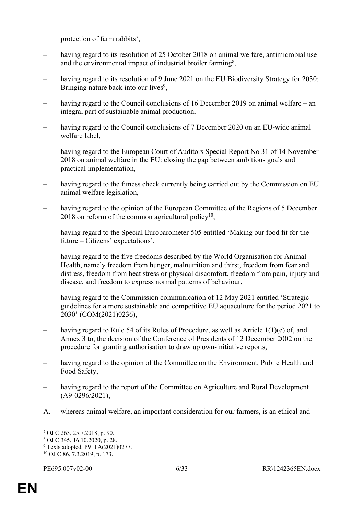protection of farm rabbits<sup>7</sup>,

- having regard to its resolution of 25 October 2018 on animal welfare, antimicrobial use and the environmental impact of industrial broiler farming<sup>8</sup>,
- having regard to its resolution of 9 June 2021 on the EU Biodiversity Strategy for 2030: Bringing nature back into our lives<sup>9</sup>,
- having regard to the Council conclusions of 16 December 2019 on animal welfare an integral part of sustainable animal production,
- having regard to the Council conclusions of 7 December 2020 on an EU-wide animal welfare label,
- having regard to the European Court of Auditors Special Report No 31 of 14 November 2018 on animal welfare in the EU: closing the gap between ambitious goals and practical implementation,
- having regard to the fitness check currently being carried out by the Commission on EU animal welfare legislation,
- having regard to the opinion of the European Committee of the Regions of 5 December  $2018$  on reform of the common agricultural policy<sup>10</sup>,
- having regard to the Special Eurobarometer 505 entitled 'Making our food fit for the future – Citizens' expectations',
- having regard to the five freedoms described by the World Organisation for Animal Health, namely freedom from hunger, malnutrition and thirst, freedom from fear and distress, freedom from heat stress or physical discomfort, freedom from pain, injury and disease, and freedom to express normal patterns of behaviour,
- having regard to the Commission communication of 12 May 2021 entitled 'Strategic guidelines for a more sustainable and competitive EU aquaculture for the period 2021 to 2030' (COM(2021)0236),
- having regard to Rule 54 of its Rules of Procedure, as well as Article 1(1)(e) of, and Annex 3 to, the decision of the Conference of Presidents of 12 December 2002 on the procedure for granting authorisation to draw up own-initiative reports,
- having regard to the opinion of the Committee on the Environment, Public Health and Food Safety,
- having regard to the report of the Committee on Agriculture and Rural Development (A9-0296/2021),
- A. whereas animal welfare, an important consideration for our farmers, is an ethical and

<sup>7</sup> OJ C 263, 25.7.2018, p. 90.

<sup>8</sup> OJ C 345, 16.10.2020, p. 28.

<sup>&</sup>lt;sup>9</sup> Texts adopted, P9 TA(2021)0277. 10 OJ C 86, 7.3.2019, p. 173.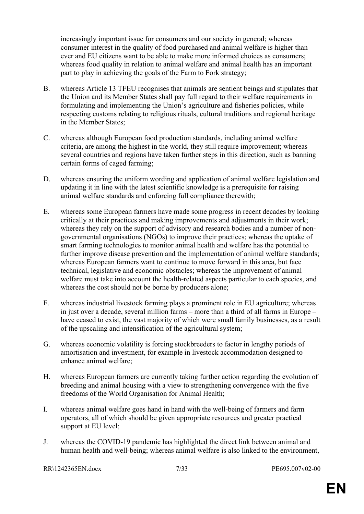increasingly important issue for consumers and our society in general; whereas consumer interest in the quality of food purchased and animal welfare is higher than ever and EU citizens want to be able to make more informed choices as consumers; whereas food quality in relation to animal welfare and animal health has an important part to play in achieving the goals of the Farm to Fork strategy;

- B. whereas Article 13 TFEU recognises that animals are sentient beings and stipulates that the Union and its Member States shall pay full regard to their welfare requirements in formulating and implementing the Union's agriculture and fisheries policies, while respecting customs relating to religious rituals, cultural traditions and regional heritage in the Member States;
- C. whereas although European food production standards, including animal welfare criteria, are among the highest in the world, they still require improvement; whereas several countries and regions have taken further steps in this direction, such as banning certain forms of caged farming;
- D. whereas ensuring the uniform wording and application of animal welfare legislation and updating it in line with the latest scientific knowledge is a prerequisite for raising animal welfare standards and enforcing full compliance therewith;
- E. whereas some European farmers have made some progress in recent decades by looking critically at their practices and making improvements and adjustments in their work; whereas they rely on the support of advisory and research bodies and a number of nongovernmental organisations (NGOs) to improve their practices; whereas the uptake of smart farming technologies to monitor animal health and welfare has the potential to further improve disease prevention and the implementation of animal welfare standards; whereas European farmers want to continue to move forward in this area, but face technical, legislative and economic obstacles; whereas the improvement of animal welfare must take into account the health-related aspects particular to each species, and whereas the cost should not be borne by producers alone;
- F. whereas industrial livestock farming plays a prominent role in EU agriculture; whereas in just over a decade, several million farms – more than a third of all farms in Europe – have ceased to exist, the vast majority of which were small family businesses, as a result of the upscaling and intensification of the agricultural system;
- G. whereas economic volatility is forcing stockbreeders to factor in lengthy periods of amortisation and investment, for example in livestock accommodation designed to enhance animal welfare;
- H. whereas European farmers are currently taking further action regarding the evolution of breeding and animal housing with a view to strengthening convergence with the five freedoms of the World Organisation for Animal Health;
- I. whereas animal welfare goes hand in hand with the well-being of farmers and farm operators, all of which should be given appropriate resources and greater practical support at EU level;
- J. whereas the COVID-19 pandemic has highlighted the direct link between animal and human health and well-being; whereas animal welfare is also linked to the environment,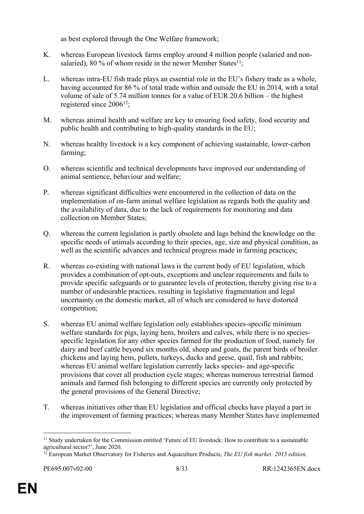as best explored through the One Welfare framework;

- K. whereas European livestock farms employ around 4 million people (salaried and nonsalaried), 80 % of whom reside in the newer Member States<sup>11</sup>;
- L. whereas intra-EU fish trade plays an essential role in the EU's fishery trade as a whole, having accounted for 86 % of total trade within and outside the EU in 2014, with a total volume of sale of 5.74 million tonnes for a value of EUR 20.6 billion – the highest registered since 2006<sup>12</sup>;
- M. whereas animal health and welfare are key to ensuring food safety, food security and public health and contributing to high-quality standards in the EU;
- N. whereas healthy livestock is a key component of achieving sustainable, lower-carbon farming;
- O. whereas scientific and technical developments have improved our understanding of animal sentience, behaviour and welfare;
- P. whereas significant difficulties were encountered in the collection of data on the implementation of on-farm animal welfare legislation as regards both the quality and the availability of data, due to the lack of requirements for monitoring and data collection on Member States;
- Q. whereas the current legislation is partly obsolete and lags behind the knowledge on the specific needs of animals according to their species, age, size and physical condition, as well as the scientific advances and technical progress made in farming practices;
- R. whereas co-existing with national laws is the current body of EU legislation, which provides a combination of opt-outs, exceptions and unclear requirements and fails to provide specific safeguards or to guarantee levels of protection, thereby giving rise to a number of undesirable practices, resulting in legislative fragmentation and legal uncertainty on the domestic market, all of which are considered to have distorted competition;
- S. whereas EU animal welfare legislation only establishes species-specific minimum welfare standards for pigs, laying hens, broilers and calves, while there is no speciesspecific legislation for any other species farmed for the production of food, namely for dairy and beef cattle beyond six months old, sheep and goats, the parent birds of broiler chickens and laying hens, pullets, turkeys, ducks and geese, quail, fish and rabbits; whereas EU animal welfare legislation currently lacks species- and age-specific provisions that cover all production cycle stages; whereas numerous terrestrial farmed animals and farmed fish belonging to different species are currently only protected by the general provisions of the General Directive;
- T. whereas initiatives other than EU legislation and official checks have played a part in the improvement of farming practices; whereas many Member States have implemented

<sup>11</sup> Study undertaken for the Commission entitled 'Future of EU livestock: How to contribute to a sustainable agricultural sector?', June 2020.

<sup>12</sup> European Market Observatory for Fisheries and Aquaculture Products, *The EU fish market: 2015 edition*.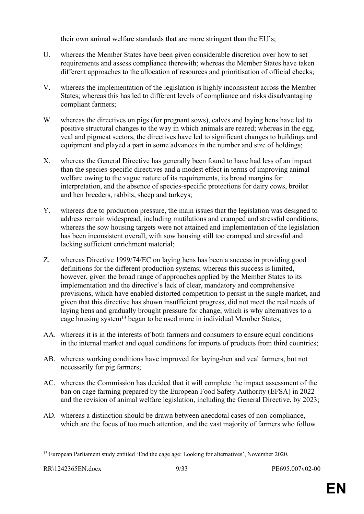their own animal welfare standards that are more stringent than the EU's;

- U. whereas the Member States have been given considerable discretion over how to set requirements and assess compliance therewith; whereas the Member States have taken different approaches to the allocation of resources and prioritisation of official checks;
- V. whereas the implementation of the legislation is highly inconsistent across the Member States; whereas this has led to different levels of compliance and risks disadvantaging compliant farmers;
- W. whereas the directives on pigs (for pregnant sows), calves and laying hens have led to positive structural changes to the way in which animals are reared; whereas in the egg, veal and pigmeat sectors, the directives have led to significant changes to buildings and equipment and played a part in some advances in the number and size of holdings;
- X. whereas the General Directive has generally been found to have had less of an impact than the species-specific directives and a modest effect in terms of improving animal welfare owing to the vague nature of its requirements, its broad margins for interpretation, and the absence of species-specific protections for dairy cows, broiler and hen breeders, rabbits, sheep and turkeys;
- Y. whereas due to production pressure, the main issues that the legislation was designed to address remain widespread, including mutilations and cramped and stressful conditions; whereas the sow housing targets were not attained and implementation of the legislation has been inconsistent overall, with sow housing still too cramped and stressful and lacking sufficient enrichment material;
- Z. whereas Directive 1999/74/EC on laying hens has been a success in providing good definitions for the different production systems; whereas this success is limited, however, given the broad range of approaches applied by the Member States to its implementation and the directive's lack of clear, mandatory and comprehensive provisions, which have enabled distorted competition to persist in the single market, and given that this directive has shown insufficient progress, did not meet the real needs of laying hens and gradually brought pressure for change, which is why alternatives to a cage housing system<sup>13</sup> began to be used more in individual Member States;
- AA. whereas it is in the interests of both farmers and consumers to ensure equal conditions in the internal market and equal conditions for imports of products from third countries;
- AB. whereas working conditions have improved for laying-hen and veal farmers, but not necessarily for pig farmers;
- AC. whereas the Commission has decided that it will complete the impact assessment of the ban on cage farming prepared by the European Food Safety Authority (EFSA) in 2022 and the revision of animal welfare legislation, including the General Directive, by 2023;
- AD. whereas a distinction should be drawn between anecdotal cases of non-compliance, which are the focus of too much attention, and the vast majority of farmers who follow

<sup>&</sup>lt;sup>13</sup> European Parliament study entitled 'End the cage age: Looking for alternatives', November 2020.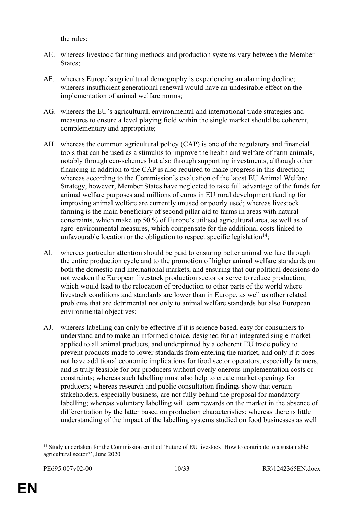the rules;

- AE. whereas livestock farming methods and production systems vary between the Member States:
- AF. whereas Europe's agricultural demography is experiencing an alarming decline; whereas insufficient generational renewal would have an undesirable effect on the implementation of animal welfare norms;
- AG. whereas the EU's agricultural, environmental and international trade strategies and measures to ensure a level playing field within the single market should be coherent, complementary and appropriate;
- AH. whereas the common agricultural policy (CAP) is one of the regulatory and financial tools that can be used as a stimulus to improve the health and welfare of farm animals, notably through eco-schemes but also through supporting investments, although other financing in addition to the CAP is also required to make progress in this direction; whereas according to the Commission's evaluation of the latest EU Animal Welfare Strategy, however, Member States have neglected to take full advantage of the funds for animal welfare purposes and millions of euros in EU rural development funding for improving animal welfare are currently unused or poorly used; whereas livestock farming is the main beneficiary of second pillar aid to farms in areas with natural constraints, which make up 50 % of Europe's utilised agricultural area, as well as of agro-environmental measures, which compensate for the additional costs linked to unfavourable location or the obligation to respect specific legislation<sup>14</sup>;
- AI. whereas particular attention should be paid to ensuring better animal welfare through the entire production cycle and to the promotion of higher animal welfare standards on both the domestic and international markets, and ensuring that our political decisions do not weaken the European livestock production sector or serve to reduce production, which would lead to the relocation of production to other parts of the world where livestock conditions and standards are lower than in Europe, as well as other related problems that are detrimental not only to animal welfare standards but also European environmental objectives;
- AJ. whereas labelling can only be effective if it is science based, easy for consumers to understand and to make an informed choice, designed for an integrated single market applied to all animal products, and underpinned by a coherent EU trade policy to prevent products made to lower standards from entering the market, and only if it does not have additional economic implications for food sector operators, especially farmers, and is truly feasible for our producers without overly onerous implementation costs or constraints; whereas such labelling must also help to create market openings for producers; whereas research and public consultation findings show that certain stakeholders, especially business, are not fully behind the proposal for mandatory labelling; whereas voluntary labelling will earn rewards on the market in the absence of differentiation by the latter based on production characteristics; whereas there is little understanding of the impact of the labelling systems studied on food businesses as well

<sup>14</sup> Study undertaken for the Commission entitled 'Future of EU livestock: How to contribute to a sustainable agricultural sector?', June 2020.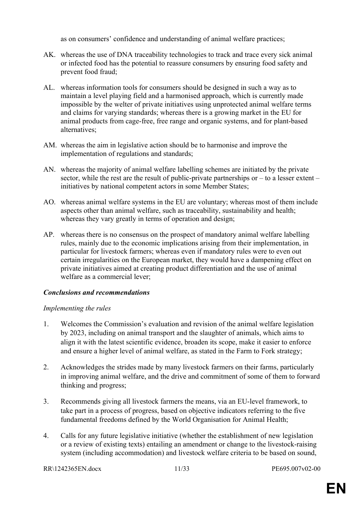as on consumers' confidence and understanding of animal welfare practices;

- AK. whereas the use of DNA traceability technologies to track and trace every sick animal or infected food has the potential to reassure consumers by ensuring food safety and prevent food fraud;
- AL. whereas information tools for consumers should be designed in such a way as to maintain a level playing field and a harmonised approach, which is currently made impossible by the welter of private initiatives using unprotected animal welfare terms and claims for varying standards; whereas there is a growing market in the EU for animal products from cage-free, free range and organic systems, and for plant-based alternatives;
- AM. whereas the aim in legislative action should be to harmonise and improve the implementation of regulations and standards;
- AN. whereas the majority of animal welfare labelling schemes are initiated by the private sector, while the rest are the result of public-private partnerships or  $-$  to a lesser extent  $$ initiatives by national competent actors in some Member States;
- AO. whereas animal welfare systems in the EU are voluntary; whereas most of them include aspects other than animal welfare, such as traceability, sustainability and health; whereas they vary greatly in terms of operation and design;
- AP. whereas there is no consensus on the prospect of mandatory animal welfare labelling rules, mainly due to the economic implications arising from their implementation, in particular for livestock farmers; whereas even if mandatory rules were to even out certain irregularities on the European market, they would have a dampening effect on private initiatives aimed at creating product differentiation and the use of animal welfare as a commercial lever;

# *Conclusions and recommendations*

# *Implementing the rules*

- 1. Welcomes the Commission's evaluation and revision of the animal welfare legislation by 2023, including on animal transport and the slaughter of animals, which aims to align it with the latest scientific evidence, broaden its scope, make it easier to enforce and ensure a higher level of animal welfare, as stated in the Farm to Fork strategy;
- 2. Acknowledges the strides made by many livestock farmers on their farms, particularly in improving animal welfare, and the drive and commitment of some of them to forward thinking and progress;
- 3. Recommends giving all livestock farmers the means, via an EU-level framework, to take part in a process of progress, based on objective indicators referring to the five fundamental freedoms defined by the World Organisation for Animal Health;
- 4. Calls for any future legislative initiative (whether the establishment of new legislation or a review of existing texts) entailing an amendment or change to the livestock-raising system (including accommodation) and livestock welfare criteria to be based on sound,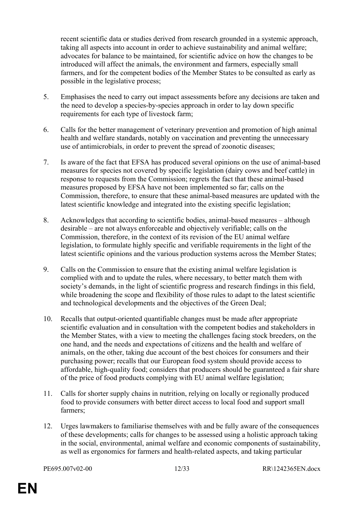recent scientific data or studies derived from research grounded in a systemic approach, taking all aspects into account in order to achieve sustainability and animal welfare; advocates for balance to be maintained, for scientific advice on how the changes to be introduced will affect the animals, the environment and farmers, especially small farmers, and for the competent bodies of the Member States to be consulted as early as possible in the legislative process;

- 5. Emphasises the need to carry out impact assessments before any decisions are taken and the need to develop a species-by-species approach in order to lay down specific requirements for each type of livestock farm;
- 6. Calls for the better management of veterinary prevention and promotion of high animal health and welfare standards, notably on vaccination and preventing the unnecessary use of antimicrobials, in order to prevent the spread of zoonotic diseases;
- 7. Is aware of the fact that EFSA has produced several opinions on the use of animal-based measures for species not covered by specific legislation (dairy cows and beef cattle) in response to requests from the Commission; regrets the fact that these animal-based measures proposed by EFSA have not been implemented so far; calls on the Commission, therefore, to ensure that these animal-based measures are updated with the latest scientific knowledge and integrated into the existing specific legislation;
- 8. Acknowledges that according to scientific bodies, animal-based measures although desirable – are not always enforceable and objectively verifiable; calls on the Commission, therefore, in the context of its revision of the EU animal welfare legislation, to formulate highly specific and verifiable requirements in the light of the latest scientific opinions and the various production systems across the Member States;
- 9. Calls on the Commission to ensure that the existing animal welfare legislation is complied with and to update the rules, where necessary, to better match them with society's demands, in the light of scientific progress and research findings in this field, while broadening the scope and flexibility of those rules to adapt to the latest scientific and technological developments and the objectives of the Green Deal;
- 10. Recalls that output-oriented quantifiable changes must be made after appropriate scientific evaluation and in consultation with the competent bodies and stakeholders in the Member States, with a view to meeting the challenges facing stock breeders, on the one hand, and the needs and expectations of citizens and the health and welfare of animals, on the other, taking due account of the best choices for consumers and their purchasing power; recalls that our European food system should provide access to affordable, high-quality food; considers that producers should be guaranteed a fair share of the price of food products complying with EU animal welfare legislation;
- 11. Calls for shorter supply chains in nutrition, relying on locally or regionally produced food to provide consumers with better direct access to local food and support small farmers;
- 12. Urges lawmakers to familiarise themselves with and be fully aware of the consequences of these developments; calls for changes to be assessed using a holistic approach taking in the social, environmental, animal welfare and economic components of sustainability, as well as ergonomics for farmers and health-related aspects, and taking particular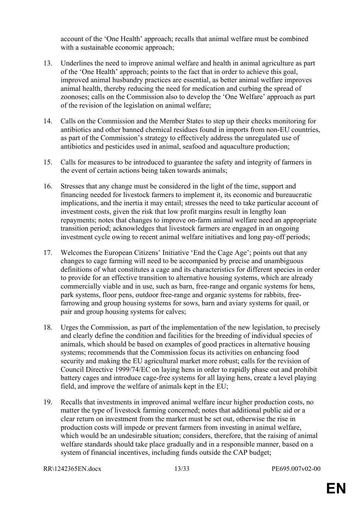account of the 'One Health' approach; recalls that animal welfare must be combined with a sustainable economic approach;

- 13. Underlines the need to improve animal welfare and health in animal agriculture as part of the 'One Health' approach; points to the fact that in order to achieve this goal, improved animal husbandry practices are essential, as better animal welfare improves animal health, thereby reducing the need for medication and curbing the spread of zoonoses; calls on the Commission also to develop the 'One Welfare' approach as part of the revision of the legislation on animal welfare;
- 14. Calls on the Commission and the Member States to step up their checks monitoring for antibiotics and other banned chemical residues found in imports from non-EU countries, as part of the Commission's strategy to effectively address the unregulated use of antibiotics and pesticides used in animal, seafood and aquaculture production;
- 15. Calls for measures to be introduced to guarantee the safety and integrity of farmers in the event of certain actions being taken towards animals;
- 16. Stresses that any change must be considered in the light of the time, support and financing needed for livestock farmers to implement it, its economic and bureaucratic implications, and the inertia it may entail; stresses the need to take particular account of investment costs, given the risk that low profit margins result in lengthy loan repayments; notes that changes to improve on-farm animal welfare need an appropriate transition period; acknowledges that livestock farmers are engaged in an ongoing investment cycle owing to recent animal welfare initiatives and long pay-off periods;
- 17. Welcomes the European Citizens' Initiative 'End the Cage Age'; points out that any changes to cage farming will need to be accompanied by precise and unambiguous definitions of what constitutes a cage and its characteristics for different species in order to provide for an effective transition to alternative housing systems, which are already commercially viable and in use, such as barn, free-range and organic systems for hens, park systems, floor pens, outdoor free-range and organic systems for rabbits, freefarrowing and group housing systems for sows, barn and aviary systems for quail, or pair and group housing systems for calves;
- 18. Urges the Commission, as part of the implementation of the new legislation, to precisely and clearly define the condition and facilities for the breeding of individual species of animals, which should be based on examples of good practices in alternative housing systems; recommends that the Commission focus its activities on enhancing food security and making the EU agricultural market more robust; calls for the revision of Council Directive 1999/74/EC on laying hens in order to rapidly phase out and prohibit battery cages and introduce cage-free systems for all laying hens, create a level playing field, and improve the welfare of animals kept in the EU;
- 19. Recalls that investments in improved animal welfare incur higher production costs, no matter the type of livestock farming concerned; notes that additional public aid or a clear return on investment from the market must be set out, otherwise the rise in production costs will impede or prevent farmers from investing in animal welfare, which would be an undesirable situation; considers, therefore, that the raising of animal welfare standards should take place gradually and in a responsible manner, based on a system of financial incentives, including funds outside the CAP budget;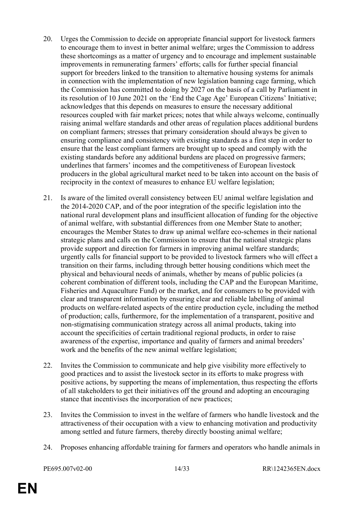- 20. Urges the Commission to decide on appropriate financial support for livestock farmers to encourage them to invest in better animal welfare; urges the Commission to address these shortcomings as a matter of urgency and to encourage and implement sustainable improvements in remunerating farmers' efforts; calls for further special financial support for breeders linked to the transition to alternative housing systems for animals in connection with the implementation of new legislation banning cage farming, which the Commission has committed to doing by 2027 on the basis of a call by Parliament in its resolution of 10 June 2021 on the 'End the Cage Age' European Citizens' Initiative; acknowledges that this depends on measures to ensure the necessary additional resources coupled with fair market prices; notes that while always welcome, continually raising animal welfare standards and other areas of regulation places additional burdens on compliant farmers; stresses that primary consideration should always be given to ensuring compliance and consistency with existing standards as a first step in order to ensure that the least compliant farmers are brought up to speed and comply with the existing standards before any additional burdens are placed on progressive farmers; underlines that farmers' incomes and the competitiveness of European livestock producers in the global agricultural market need to be taken into account on the basis of reciprocity in the context of measures to enhance EU welfare legislation;
- 21. Is aware of the limited overall consistency between EU animal welfare legislation and the 2014-2020 CAP, and of the poor integration of the specific legislation into the national rural development plans and insufficient allocation of funding for the objective of animal welfare, with substantial differences from one Member State to another; encourages the Member States to draw up animal welfare eco-schemes in their national strategic plans and calls on the Commission to ensure that the national strategic plans provide support and direction for farmers in improving animal welfare standards; urgently calls for financial support to be provided to livestock farmers who will effect a transition on their farms, including through better housing conditions which meet the physical and behavioural needs of animals, whether by means of public policies (a coherent combination of different tools, including the CAP and the European Maritime, Fisheries and Aquaculture Fund) or the market, and for consumers to be provided with clear and transparent information by ensuring clear and reliable labelling of animal products on welfare-related aspects of the entire production cycle, including the method of production; calls, furthermore, for the implementation of a transparent, positive and non-stigmatising communication strategy across all animal products, taking into account the specificities of certain traditional regional products, in order to raise awareness of the expertise, importance and quality of farmers and animal breeders' work and the benefits of the new animal welfare legislation;
- 22. Invites the Commission to communicate and help give visibility more effectively to good practices and to assist the livestock sector in its efforts to make progress with positive actions, by supporting the means of implementation, thus respecting the efforts of all stakeholders to get their initiatives off the ground and adopting an encouraging stance that incentivises the incorporation of new practices;
- 23. Invites the Commission to invest in the welfare of farmers who handle livestock and the attractiveness of their occupation with a view to enhancing motivation and productivity among settled and future farmers, thereby directly boosting animal welfare;
- 24. Proposes enhancing affordable training for farmers and operators who handle animals in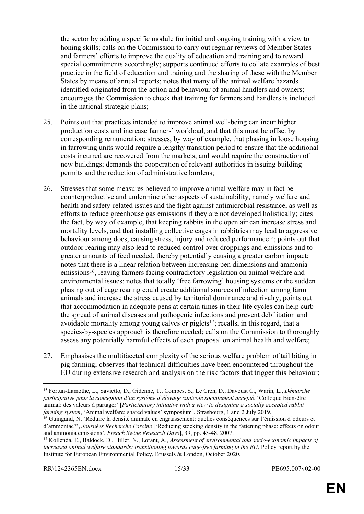the sector by adding a specific module for initial and ongoing training with a view to honing skills; calls on the Commission to carry out regular reviews of Member States and farmers' efforts to improve the quality of education and training and to reward special commitments accordingly; supports continued efforts to collate examples of best practice in the field of education and training and the sharing of these with the Member States by means of annual reports; notes that many of the animal welfare hazards identified originated from the action and behaviour of animal handlers and owners; encourages the Commission to check that training for farmers and handlers is included in the national strategic plans;

- 25. Points out that practices intended to improve animal well-being can incur higher production costs and increase farmers' workload, and that this must be offset by corresponding remuneration; stresses, by way of example, that phasing in loose housing in farrowing units would require a lengthy transition period to ensure that the additional costs incurred are recovered from the markets, and would require the construction of new buildings; demands the cooperation of relevant authorities in issuing building permits and the reduction of administrative burdens;
- 26. Stresses that some measures believed to improve animal welfare may in fact be counterproductive and undermine other aspects of sustainability, namely welfare and health and safety-related issues and the fight against antimicrobial resistance, as well as efforts to reduce greenhouse gas emissions if they are not developed holistically; cites the fact, by way of example, that keeping rabbits in the open air can increase stress and mortality levels, and that installing collective cages in rabbitries may lead to aggressive behaviour among does, causing stress, injury and reduced performance<sup>15</sup>; points out that outdoor rearing may also lead to reduced control over droppings and emissions and to greater amounts of feed needed, thereby potentially causing a greater carbon impact; notes that there is a linear relation between increasing pen dimensions and ammonia emissions<sup>16</sup>, leaving farmers facing contradictory legislation on animal welfare and environmental issues; notes that totally 'free farrowing' housing systems or the sudden phasing out of cage rearing could create additional sources of infection among farm animals and increase the stress caused by territorial dominance and rivalry; points out that accommodation in adequate pens at certain times in their life cycles can help curb the spread of animal diseases and pathogenic infections and prevent debilitation and avoidable mortality among young calves or piglets<sup>17</sup>; recalls, in this regard, that a species-by-species approach is therefore needed; calls on the Commission to thoroughly assess any potentially harmful effects of each proposal on animal health and welfare;
- 27. Emphasises the multifaceted complexity of the serious welfare problem of tail biting in pig farming; observes that technical difficulties have been encountered throughout the EU during extensive research and analysis on the risk factors that trigger this behaviour;

<sup>15</sup> Fortun-Lamothe, L., Savietto, D., Gidenne, T., Combes, S., Le Cren, D., Davoust C., Warin, L., *Démarche participative pour la conception d'un système d'élevage cunicole socialement accepté*, 'Colloque Bien-être animal: des valeurs à partager' [*Participatory initiative with a view to designing a socially accepted rabbit farming system*, 'Animal welfare: shared values' symposium], Strasbourg, 1 and 2 July 2019.

<sup>16</sup> Guingand, N, 'Réduire la densité animale en engraissement: quelles conséquences sur l'émission d'odeurs et d'ammoniac?', *Journées Recherche Porcine* ['Reducing stocking density in the fattening phase: effects on odour and ammonia emissions', *French Swine Research Days*], 39, pp. 43-48, 2007.

<sup>17</sup> Kollenda, E., Baldock, D., Hiller, N., Lorant, A., *Assessment of environmental and socio-economic impacts of increased animal welfare standards: transitioning towards cage-free farming in the EU*, Policy report by the Institute for European Environmental Policy, Brussels & London, October 2020.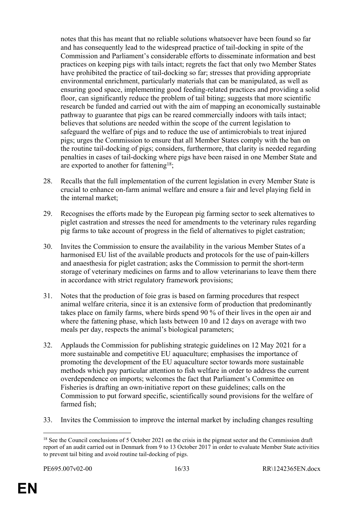notes that this has meant that no reliable solutions whatsoever have been found so far and has consequently lead to the widespread practice of tail-docking in spite of the Commission and Parliament's considerable efforts to disseminate information and best practices on keeping pigs with tails intact; regrets the fact that only two Member States have prohibited the practice of tail-docking so far; stresses that providing appropriate environmental enrichment, particularly materials that can be manipulated, as well as ensuring good space, implementing good feeding-related practices and providing a solid floor, can significantly reduce the problem of tail biting; suggests that more scientific research be funded and carried out with the aim of mapping an economically sustainable pathway to guarantee that pigs can be reared commercially indoors with tails intact; believes that solutions are needed within the scope of the current legislation to safeguard the welfare of pigs and to reduce the use of antimicrobials to treat injured pigs; urges the Commission to ensure that all Member States comply with the ban on the routine tail-docking of pigs; considers, furthermore, that clarity is needed regarding penalties in cases of tail-docking where pigs have been raised in one Member State and are exported to another for fattening<sup>18</sup>;

- 28. Recalls that the full implementation of the current legislation in every Member State is crucial to enhance on-farm animal welfare and ensure a fair and level playing field in the internal market;
- 29. Recognises the efforts made by the European pig farming sector to seek alternatives to piglet castration and stresses the need for amendments to the veterinary rules regarding pig farms to take account of progress in the field of alternatives to piglet castration;
- 30. Invites the Commission to ensure the availability in the various Member States of a harmonised EU list of the available products and protocols for the use of pain-killers and anaesthesia for piglet castration; asks the Commission to permit the short-term storage of veterinary medicines on farms and to allow veterinarians to leave them there in accordance with strict regulatory framework provisions;
- 31. Notes that the production of foie gras is based on farming procedures that respect animal welfare criteria, since it is an extensive form of production that predominantly takes place on family farms, where birds spend 90 % of their lives in the open air and where the fattening phase, which lasts between 10 and 12 days on average with two meals per day, respects the animal's biological parameters;
- 32. Applauds the Commission for publishing strategic guidelines on 12 May 2021 for a more sustainable and competitive EU aquaculture; emphasises the importance of promoting the development of the EU aquaculture sector towards more sustainable methods which pay particular attention to fish welfare in order to address the current overdependence on imports; welcomes the fact that Parliament's Committee on Fisheries is drafting an own-initiative report on these guidelines; calls on the Commission to put forward specific, scientifically sound provisions for the welfare of farmed fish;
- 33. Invites the Commission to improve the internal market by including changes resulting

<sup>&</sup>lt;sup>18</sup> See the Council conclusions of 5 October 2021 on the crisis in the pigmeat sector and the Commission draft report of an audit carried out in Denmark from 9 to 13 October 2017 in order to evaluate Member State activities to prevent tail biting and avoid routine tail-docking of pigs.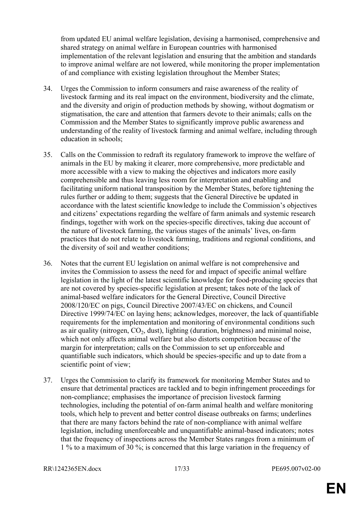from updated EU animal welfare legislation, devising a harmonised, comprehensive and shared strategy on animal welfare in European countries with harmonised implementation of the relevant legislation and ensuring that the ambition and standards to improve animal welfare are not lowered, while monitoring the proper implementation of and compliance with existing legislation throughout the Member States;

- 34. Urges the Commission to inform consumers and raise awareness of the reality of livestock farming and its real impact on the environment, biodiversity and the climate, and the diversity and origin of production methods by showing, without dogmatism or stigmatisation, the care and attention that farmers devote to their animals; calls on the Commission and the Member States to significantly improve public awareness and understanding of the reality of livestock farming and animal welfare, including through education in schools;
- 35. Calls on the Commission to redraft its regulatory framework to improve the welfare of animals in the EU by making it clearer, more comprehensive, more predictable and more accessible with a view to making the objectives and indicators more easily comprehensible and thus leaving less room for interpretation and enabling and facilitating uniform national transposition by the Member States, before tightening the rules further or adding to them; suggests that the General Directive be updated in accordance with the latest scientific knowledge to include the Commission's objectives and citizens' expectations regarding the welfare of farm animals and systemic research findings, together with work on the species-specific directives, taking due account of the nature of livestock farming, the various stages of the animals' lives, on-farm practices that do not relate to livestock farming, traditions and regional conditions, and the diversity of soil and weather conditions;
- 36. Notes that the current EU legislation on animal welfare is not comprehensive and invites the Commission to assess the need for and impact of specific animal welfare legislation in the light of the latest scientific knowledge for food-producing species that are not covered by species-specific legislation at present; takes note of the lack of animal-based welfare indicators for the General Directive, Council Directive 2008/120/EC on pigs, Council Directive 2007/43/EC on chickens, and Council Directive 1999/74/EC on laying hens; acknowledges, moreover, the lack of quantifiable requirements for the implementation and monitoring of environmental conditions such as air quality (nitrogen,  $CO<sub>2</sub>$ , dust), lighting (duration, brightness) and minimal noise, which not only affects animal welfare but also distorts competition because of the margin for interpretation; calls on the Commission to set up enforceable and quantifiable such indicators, which should be species-specific and up to date from a scientific point of view;
- 37. Urges the Commission to clarify its framework for monitoring Member States and to ensure that detrimental practices are tackled and to begin infringement proceedings for non-compliance; emphasises the importance of precision livestock farming technologies, including the potential of on-farm animal health and welfare monitoring tools, which help to prevent and better control disease outbreaks on farms; underlines that there are many factors behind the rate of non-compliance with animal welfare legislation, including unenforceable and unquantifiable animal-based indicators; notes that the frequency of inspections across the Member States ranges from a minimum of 1 % to a maximum of 30 %; is concerned that this large variation in the frequency of

RR\1242365EN.docx 17/33 PE695.007v02-00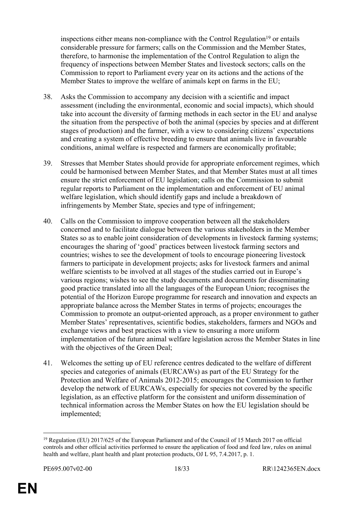inspections either means non-compliance with the Control Regulation<sup>19</sup> or entails considerable pressure for farmers; calls on the Commission and the Member States, therefore, to harmonise the implementation of the Control Regulation to align the frequency of inspections between Member States and livestock sectors; calls on the Commission to report to Parliament every year on its actions and the actions of the Member States to improve the welfare of animals kept on farms in the EU;

- 38. Asks the Commission to accompany any decision with a scientific and impact assessment (including the environmental, economic and social impacts), which should take into account the diversity of farming methods in each sector in the EU and analyse the situation from the perspective of both the animal (species by species and at different stages of production) and the farmer, with a view to considering citizens' expectations and creating a system of effective breeding to ensure that animals live in favourable conditions, animal welfare is respected and farmers are economically profitable;
- 39. Stresses that Member States should provide for appropriate enforcement regimes, which could be harmonised between Member States, and that Member States must at all times ensure the strict enforcement of EU legislation; calls on the Commission to submit regular reports to Parliament on the implementation and enforcement of EU animal welfare legislation, which should identify gaps and include a breakdown of infringements by Member State, species and type of infringement;
- 40. Calls on the Commission to improve cooperation between all the stakeholders concerned and to facilitate dialogue between the various stakeholders in the Member States so as to enable joint consideration of developments in livestock farming systems; encourages the sharing of 'good' practices between livestock farming sectors and countries; wishes to see the development of tools to encourage pioneering livestock farmers to participate in development projects; asks for livestock farmers and animal welfare scientists to be involved at all stages of the studies carried out in Europe's various regions; wishes to see the study documents and documents for disseminating good practice translated into all the languages of the European Union; recognises the potential of the Horizon Europe programme for research and innovation and expects an appropriate balance across the Member States in terms of projects; encourages the Commission to promote an output-oriented approach, as a proper environment to gather Member States' representatives, scientific bodies, stakeholders, farmers and NGOs and exchange views and best practices with a view to ensuring a more uniform implementation of the future animal welfare legislation across the Member States in line with the objectives of the Green Deal:
- 41. Welcomes the setting up of EU reference centres dedicated to the welfare of different species and categories of animals (EURCAWs) as part of the EU Strategy for the Protection and Welfare of Animals 2012-2015; encourages the Commission to further develop the network of EURCAWs, especially for species not covered by the specific legislation, as an effective platform for the consistent and uniform dissemination of technical information across the Member States on how the EU legislation should be implemented;

<sup>19</sup> Regulation (EU) 2017/625 of the European Parliament and of the Council of 15 March 2017 on official controls and other official activities performed to ensure the application of food and feed law, rules on animal health and welfare, plant health and plant protection products, OJ L 95, 7.4.2017, p. 1.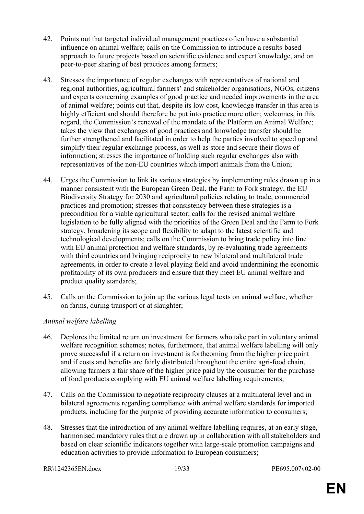- 42. Points out that targeted individual management practices often have a substantial influence on animal welfare; calls on the Commission to introduce a results-based approach to future projects based on scientific evidence and expert knowledge, and on peer-to-peer sharing of best practices among farmers;
- 43. Stresses the importance of regular exchanges with representatives of national and regional authorities, agricultural farmers' and stakeholder organisations, NGOs, citizens and experts concerning examples of good practice and needed improvements in the area of animal welfare; points out that, despite its low cost, knowledge transfer in this area is highly efficient and should therefore be put into practice more often; welcomes, in this regard, the Commission's renewal of the mandate of the Platform on Animal Welfare; takes the view that exchanges of good practices and knowledge transfer should be further strengthened and facilitated in order to help the parties involved to speed up and simplify their regular exchange process, as well as store and secure their flows of information; stresses the importance of holding such regular exchanges also with representatives of the non-EU countries which import animals from the Union;
- 44. Urges the Commission to link its various strategies by implementing rules drawn up in a manner consistent with the European Green Deal, the Farm to Fork strategy, the EU Biodiversity Strategy for 2030 and agricultural policies relating to trade, commercial practices and promotion; stresses that consistency between these strategies is a precondition for a viable agricultural sector; calls for the revised animal welfare legislation to be fully aligned with the priorities of the Green Deal and the Farm to Fork strategy, broadening its scope and flexibility to adapt to the latest scientific and technological developments; calls on the Commission to bring trade policy into line with EU animal protection and welfare standards, by re-evaluating trade agreements with third countries and bringing reciprocity to new bilateral and multilateral trade agreements, in order to create a level playing field and avoid undermining the economic profitability of its own producers and ensure that they meet EU animal welfare and product quality standards;
- 45. Calls on the Commission to join up the various legal texts on animal welfare, whether on farms, during transport or at slaughter;

#### *Animal welfare labelling*

- 46. Deplores the limited return on investment for farmers who take part in voluntary animal welfare recognition schemes; notes, furthermore, that animal welfare labelling will only prove successful if a return on investment is forthcoming from the higher price point and if costs and benefits are fairly distributed throughout the entire agri-food chain, allowing farmers a fair share of the higher price paid by the consumer for the purchase of food products complying with EU animal welfare labelling requirements;
- 47. Calls on the Commission to negotiate reciprocity clauses at a multilateral level and in bilateral agreements regarding compliance with animal welfare standards for imported products, including for the purpose of providing accurate information to consumers;
- 48. Stresses that the introduction of any animal welfare labelling requires, at an early stage, harmonised mandatory rules that are drawn up in collaboration with all stakeholders and based on clear scientific indicators together with large-scale promotion campaigns and education activities to provide information to European consumers;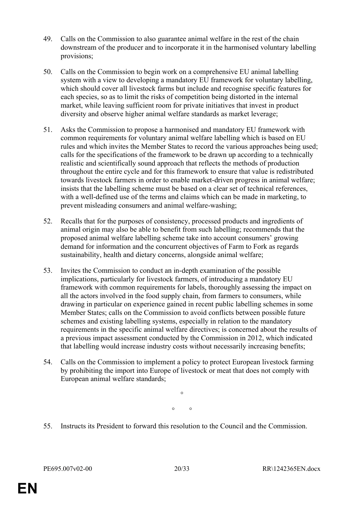- 49. Calls on the Commission to also guarantee animal welfare in the rest of the chain downstream of the producer and to incorporate it in the harmonised voluntary labelling provisions;
- 50. Calls on the Commission to begin work on a comprehensive EU animal labelling system with a view to developing a mandatory EU framework for voluntary labelling, which should cover all livestock farms but include and recognise specific features for each species, so as to limit the risks of competition being distorted in the internal market, while leaving sufficient room for private initiatives that invest in product diversity and observe higher animal welfare standards as market leverage;
- 51. Asks the Commission to propose a harmonised and mandatory EU framework with common requirements for voluntary animal welfare labelling which is based on EU rules and which invites the Member States to record the various approaches being used; calls for the specifications of the framework to be drawn up according to a technically realistic and scientifically sound approach that reflects the methods of production throughout the entire cycle and for this framework to ensure that value is redistributed towards livestock farmers in order to enable market-driven progress in animal welfare; insists that the labelling scheme must be based on a clear set of technical references, with a well-defined use of the terms and claims which can be made in marketing, to prevent misleading consumers and animal welfare-washing;
- 52. Recalls that for the purposes of consistency, processed products and ingredients of animal origin may also be able to benefit from such labelling; recommends that the proposed animal welfare labelling scheme take into account consumers' growing demand for information and the concurrent objectives of Farm to Fork as regards sustainability, health and dietary concerns, alongside animal welfare;
- 53. Invites the Commission to conduct an in-depth examination of the possible implications, particularly for livestock farmers, of introducing a mandatory EU framework with common requirements for labels, thoroughly assessing the impact on all the actors involved in the food supply chain, from farmers to consumers, while drawing in particular on experience gained in recent public labelling schemes in some Member States; calls on the Commission to avoid conflicts between possible future schemes and existing labelling systems, especially in relation to the mandatory requirements in the specific animal welfare directives; is concerned about the results of a previous impact assessment conducted by the Commission in 2012, which indicated that labelling would increase industry costs without necessarily increasing benefits;
- 54. Calls on the Commission to implement a policy to protect European livestock farming by prohibiting the import into Europe of livestock or meat that does not comply with European animal welfare standards;

 $\circ$  $\circ$   $\circ$ 

55. Instructs its President to forward this resolution to the Council and the Commission.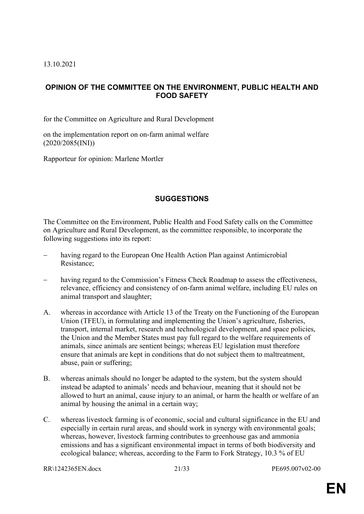13.10.2021

# <span id="page-20-0"></span>**OPINION OF THE COMMITTEE ON THE ENVIRONMENT, PUBLIC HEALTH AND FOOD SAFETY**

for the Committee on Agriculture and Rural Development

on the implementation report on on-farm animal welfare (2020/2085(INI))

Rapporteur for opinion: Marlene Mortler

# **SUGGESTIONS**

The Committee on the Environment, Public Health and Food Safety calls on the Committee on Agriculture and Rural Development, as the committee responsible, to incorporate the following suggestions into its report:

- having regard to the European One Health Action Plan against Antimicrobial Resistance;
- having regard to the Commission's Fitness Check Roadmap to assess the effectiveness, relevance, efficiency and consistency of on-farm animal welfare, including EU rules on animal transport and slaughter;
- A. whereas in accordance with Article 13 of the Treaty on the Functioning of the European Union (TFEU), in formulating and implementing the Union's agriculture, fisheries, transport, internal market, research and technological development, and space policies, the Union and the Member States must pay full regard to the welfare requirements of animals, since animals are sentient beings; whereas EU legislation must therefore ensure that animals are kept in conditions that do not subject them to maltreatment, abuse, pain or suffering;
- B. whereas animals should no longer be adapted to the system, but the system should instead be adapted to animals' needs and behaviour, meaning that it should not be allowed to hurt an animal, cause injury to an animal, or harm the health or welfare of an animal by housing the animal in a certain way;
- C. whereas livestock farming is of economic, social and cultural significance in the EU and especially in certain rural areas, and should work in synergy with environmental goals; whereas, however, livestock farming contributes to greenhouse gas and ammonia emissions and has a significant environmental impact in terms of both biodiversity and ecological balance; whereas, according to the Farm to Fork Strategy, 10.3 % of EU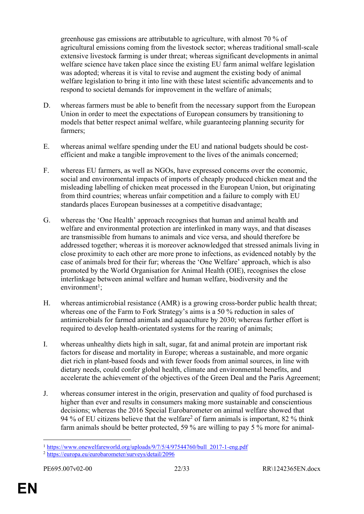greenhouse gas emissions are attributable to agriculture, with almost 70 % of agricultural emissions coming from the livestock sector; whereas traditional small-scale extensive livestock farming is under threat; whereas significant developments in animal welfare science have taken place since the existing EU farm animal welfare legislation was adopted; whereas it is vital to revise and augment the existing body of animal welfare legislation to bring it into line with these latest scientific advancements and to respond to societal demands for improvement in the welfare of animals;

- D. whereas farmers must be able to benefit from the necessary support from the European Union in order to meet the expectations of European consumers by transitioning to models that better respect animal welfare, while guaranteeing planning security for farmers;
- E. whereas animal welfare spending under the EU and national budgets should be costefficient and make a tangible improvement to the lives of the animals concerned;
- F. whereas EU farmers, as well as NGOs, have expressed concerns over the economic, social and environmental impacts of imports of cheaply produced chicken meat and the misleading labelling of chicken meat processed in the European Union, but originating from third countries; whereas unfair competition and a failure to comply with EU standards places European businesses at a competitive disadvantage;
- G. whereas the 'One Health' approach recognises that human and animal health and welfare and environmental protection are interlinked in many ways, and that diseases are transmissible from humans to animals and vice versa, and should therefore be addressed together; whereas it is moreover acknowledged that stressed animals living in close proximity to each other are more prone to infections, as evidenced notably by the case of animals bred for their fur; whereas the 'One Welfare' approach, which is also promoted by the World Organisation for Animal Health (OIE), recognises the close interlinkage between animal welfare and human welfare, biodiversity and the  $environment$ <sup>1</sup>;
- H. whereas antimicrobial resistance (AMR) is a growing cross-border public health threat; whereas one of the Farm to Fork Strategy's aims is a 50 % reduction in sales of antimicrobials for farmed animals and aquaculture by 2030; whereas further effort is required to develop health-orientated systems for the rearing of animals;
- I. whereas unhealthy diets high in salt, sugar, fat and animal protein are important risk factors for disease and mortality in Europe; whereas a sustainable, and more organic diet rich in plant-based foods and with fewer foods from animal sources, in line with dietary needs, could confer global health, climate and environmental benefits, and accelerate the achievement of the objectives of the Green Deal and the Paris Agreement;
- J. whereas consumer interest in the origin, preservation and quality of food purchased is higher than ever and results in consumers making more sustainable and conscientious decisions; whereas the 2016 Special Eurobarometer on animal welfare showed that 94 % of EU citizens believe that the welfare<sup>2</sup> of farm animals is important, 82 % think farm animals should be better protected, 59 % are willing to pay 5 % more for animal-

<sup>1</sup> [https://www.onewelfareworld.org/uploads/9/7/5/4/97544760/bull\\_2017-1-eng.pdf](https://www.onewelfareworld.org/uploads/9/7/5/4/97544760/bull_2017-1-eng.pdf)

<sup>2</sup> <https://europa.eu/eurobarometer/surveys/detail/2096>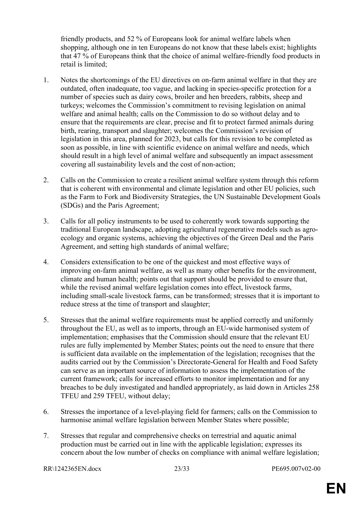friendly products, and 52 % of Europeans look for animal welfare labels when shopping, although one in ten Europeans do not know that these labels exist; highlights that 47 % of Europeans think that the choice of animal welfare-friendly food products in retail is limited;

- 1. Notes the shortcomings of the EU directives on on-farm animal welfare in that they are outdated, often inadequate, too vague, and lacking in species-specific protection for a number of species such as dairy cows, broiler and hen breeders, rabbits, sheep and turkeys; welcomes the Commission's commitment to revising legislation on animal welfare and animal health; calls on the Commission to do so without delay and to ensure that the requirements are clear, precise and fit to protect farmed animals during birth, rearing, transport and slaughter; welcomes the Commission's revision of legislation in this area, planned for 2023, but calls for this revision to be completed as soon as possible, in line with scientific evidence on animal welfare and needs, which should result in a high level of animal welfare and subsequently an impact assessment covering all sustainability levels and the cost of non-action;
- 2. Calls on the Commission to create a resilient animal welfare system through this reform that is coherent with environmental and climate legislation and other EU policies, such as the Farm to Fork and Biodiversity Strategies, the UN Sustainable Development Goals (SDGs) and the Paris Agreement;
- 3. Calls for all policy instruments to be used to coherently work towards supporting the traditional European landscape, adopting agricultural regenerative models such as agroecology and organic systems, achieving the objectives of the Green Deal and the Paris Agreement, and setting high standards of animal welfare;
- 4. Considers extensification to be one of the quickest and most effective ways of improving on-farm animal welfare, as well as many other benefits for the environment, climate and human health; points out that support should be provided to ensure that, while the revised animal welfare legislation comes into effect, livestock farms, including small-scale livestock farms, can be transformed; stresses that it is important to reduce stress at the time of transport and slaughter;
- 5. Stresses that the animal welfare requirements must be applied correctly and uniformly throughout the EU, as well as to imports, through an EU-wide harmonised system of implementation; emphasises that the Commission should ensure that the relevant EU rules are fully implemented by Member States; points out the need to ensure that there is sufficient data available on the implementation of the legislation; recognises that the audits carried out by the Commission's Directorate-General for Health and Food Safety can serve as an important source of information to assess the implementation of the current framework; calls for increased efforts to monitor implementation and for any breaches to be duly investigated and handled appropriately, as laid down in Articles 258 TFEU and 259 TFEU, without delay;
- 6. Stresses the importance of a level-playing field for farmers; calls on the Commission to harmonise animal welfare legislation between Member States where possible;
- 7. Stresses that regular and comprehensive checks on terrestrial and aquatic animal production must be carried out in line with the applicable legislation; expresses its concern about the low number of checks on compliance with animal welfare legislation;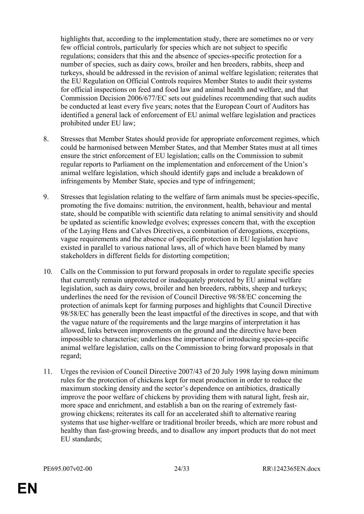highlights that, according to the implementation study, there are sometimes no or very few official controls, particularly for species which are not subject to specific regulations; considers that this and the absence of species-specific protection for a number of species, such as dairy cows, broiler and hen breeders, rabbits, sheep and turkeys, should be addressed in the revision of animal welfare legislation; reiterates that the EU Regulation on Official Controls requires Member States to audit their systems for official inspections on feed and food law and animal health and welfare, and that Commission Decision 2006/677/EC sets out guidelines recommending that such audits be conducted at least every five years; notes that the European Court of Auditors has identified a general lack of enforcement of EU animal welfare legislation and practices prohibited under EU law;

- 8. Stresses that Member States should provide for appropriate enforcement regimes, which could be harmonised between Member States, and that Member States must at all times ensure the strict enforcement of EU legislation; calls on the Commission to submit regular reports to Parliament on the implementation and enforcement of the Union's animal welfare legislation, which should identify gaps and include a breakdown of infringements by Member State, species and type of infringement;
- 9. Stresses that legislation relating to the welfare of farm animals must be species-specific, promoting the five domains: nutrition, the environment, health, behaviour and mental state, should be compatible with scientific data relating to animal sensitivity and should be updated as scientific knowledge evolves; expresses concern that, with the exception of the Laying Hens and Calves Directives, a combination of derogations, exceptions, vague requirements and the absence of specific protection in EU legislation have existed in parallel to various national laws, all of which have been blamed by many stakeholders in different fields for distorting competition;
- 10. Calls on the Commission to put forward proposals in order to regulate specific species that currently remain unprotected or inadequately protected by EU animal welfare legislation, such as dairy cows, broiler and hen breeders, rabbits, sheep and turkeys; underlines the need for the revision of Council Directive 98/58/EC concerning the protection of animals kept for farming purposes and highlights that Council Directive 98/58/EC has generally been the least impactful of the directives in scope, and that with the vague nature of the requirements and the large margins of interpretation it has allowed, links between improvements on the ground and the directive have been impossible to characterise; underlines the importance of introducing species-specific animal welfare legislation, calls on the Commission to bring forward proposals in that regard;
- 11. Urges the revision of Council Directive 2007/43 of 20 July 1998 laying down minimum rules for the protection of chickens kept for meat production in order to reduce the maximum stocking density and the sector's dependence on antibiotics, drastically improve the poor welfare of chickens by providing them with natural light, fresh air, more space and enrichment, and establish a ban on the rearing of extremely fastgrowing chickens; reiterates its call for an accelerated shift to alternative rearing systems that use higher-welfare or traditional broiler breeds, which are more robust and healthy than fast-growing breeds, and to disallow any import products that do not meet EU standards;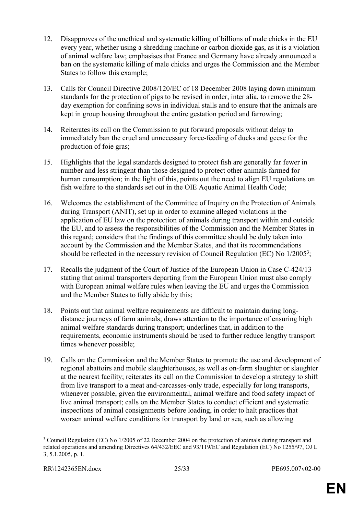- 12. Disapproves of the unethical and systematic killing of billions of male chicks in the EU every year, whether using a shredding machine or carbon dioxide gas, as it is a violation of animal welfare law; emphasises that France and Germany have already announced a ban on the systematic killing of male chicks and urges the Commission and the Member States to follow this example;
- 13. Calls for Council Directive 2008/120/EC of 18 December 2008 laying down minimum standards for the protection of pigs to be revised in order, inter alia, to remove the 28 day exemption for confining sows in individual stalls and to ensure that the animals are kept in group housing throughout the entire gestation period and farrowing;
- 14. Reiterates its call on the Commission to put forward proposals without delay to immediately ban the cruel and unnecessary force-feeding of ducks and geese for the production of foie gras;
- 15. Highlights that the legal standards designed to protect fish are generally far fewer in number and less stringent than those designed to protect other animals farmed for human consumption; in the light of this, points out the need to align EU regulations on fish welfare to the standards set out in the OIE Aquatic Animal Health Code;
- 16. Welcomes the establishment of the Committee of Inquiry on the Protection of Animals during Transport (ANIT), set up in order to examine alleged violations in the application of EU law on the protection of animals during transport within and outside the EU, and to assess the responsibilities of the Commission and the Member States in this regard; considers that the findings of this committee should be duly taken into account by the Commission and the Member States, and that its recommendations should be reflected in the necessary revision of Council Regulation (EC) No 1/2005<sup>3</sup>;
- 17. Recalls the judgment of the Court of Justice of the European Union in Case C-424/13 stating that animal transporters departing from the European Union must also comply with European animal welfare rules when leaving the EU and urges the Commission and the Member States to fully abide by this;
- 18. Points out that animal welfare requirements are difficult to maintain during longdistance journeys of farm animals; draws attention to the importance of ensuring high animal welfare standards during transport; underlines that, in addition to the requirements, economic instruments should be used to further reduce lengthy transport times whenever possible;
- 19. Calls on the Commission and the Member States to promote the use and development of regional abattoirs and mobile slaughterhouses, as well as on-farm slaughter or slaughter at the nearest facility; reiterates its call on the Commission to develop a strategy to shift from live transport to a meat and-carcasses-only trade, especially for long transports, whenever possible, given the environmental, animal welfare and food safety impact of live animal transport; calls on the Member States to conduct efficient and systematic inspections of animal consignments before loading, in order to halt practices that worsen animal welfare conditions for transport by land or sea, such as allowing

<sup>&</sup>lt;sup>3</sup> Council Regulation (EC) No 1/2005 of 22 December 2004 on the protection of animals during transport and related operations and amending Directives 64/432/EEC and 93/119/EC and Regulation (EC) No 1255/97, OJ L 3, 5.1.2005, p. 1.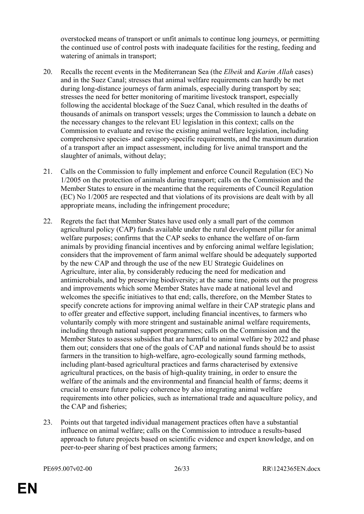overstocked means of transport or unfit animals to continue long journeys, or permitting the continued use of control posts with inadequate facilities for the resting, feeding and watering of animals in transport;

- 20. Recalls the recent events in the Mediterranean Sea (the *Elbeik* and *Karim Allah* cases) and in the Suez Canal; stresses that animal welfare requirements can hardly be met during long-distance journeys of farm animals, especially during transport by sea; stresses the need for better monitoring of maritime livestock transport, especially following the accidental blockage of the Suez Canal, which resulted in the deaths of thousands of animals on transport vessels; urges the Commission to launch a debate on the necessary changes to the relevant EU legislation in this context; calls on the Commission to evaluate and revise the existing animal welfare legislation, including comprehensive species- and category-specific requirements, and the maximum duration of a transport after an impact assessment, including for live animal transport and the slaughter of animals, without delay;
- 21. Calls on the Commission to fully implement and enforce Council Regulation (EC) No 1/2005 on the protection of animals during transport; calls on the Commission and the Member States to ensure in the meantime that the requirements of Council Regulation (EC) No 1/2005 are respected and that violations of its provisions are dealt with by all appropriate means, including the infringement procedure;
- 22. Regrets the fact that Member States have used only a small part of the common agricultural policy (CAP) funds available under the rural development pillar for animal welfare purposes; confirms that the CAP seeks to enhance the welfare of on-farm animals by providing financial incentives and by enforcing animal welfare legislation; considers that the improvement of farm animal welfare should be adequately supported by the new CAP and through the use of the new EU Strategic Guidelines on Agriculture, inter alia, by considerably reducing the need for medication and antimicrobials, and by preserving biodiversity; at the same time, points out the progress and improvements which some Member States have made at national level and welcomes the specific initiatives to that end; calls, therefore, on the Member States to specify concrete actions for improving animal welfare in their CAP strategic plans and to offer greater and effective support, including financial incentives, to farmers who voluntarily comply with more stringent and sustainable animal welfare requirements, including through national support programmes; calls on the Commission and the Member States to assess subsidies that are harmful to animal welfare by 2022 and phase them out; considers that one of the goals of CAP and national funds should be to assist farmers in the transition to high-welfare, agro-ecologically sound farming methods, including plant-based agricultural practices and farms characterised by extensive agricultural practices, on the basis of high-quality training, in order to ensure the welfare of the animals and the environmental and financial health of farms; deems it crucial to ensure future policy coherence by also integrating animal welfare requirements into other policies, such as international trade and aquaculture policy, and the CAP and fisheries;
- 23. Points out that targeted individual management practices often have a substantial influence on animal welfare; calls on the Commission to introduce a results-based approach to future projects based on scientific evidence and expert knowledge, and on peer-to-peer sharing of best practices among farmers;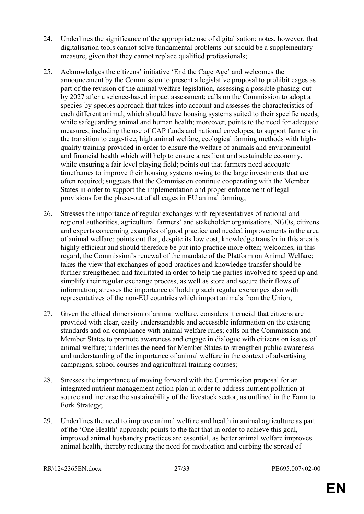- 24. Underlines the significance of the appropriate use of digitalisation; notes, however, that digitalisation tools cannot solve fundamental problems but should be a supplementary measure, given that they cannot replace qualified professionals;
- 25. Acknowledges the citizens' initiative 'End the Cage Age' and welcomes the announcement by the Commission to present a legislative proposal to prohibit cages as part of the revision of the animal welfare legislation, assessing a possible phasing-out by 2027 after a science-based impact assessment; calls on the Commission to adopt a species-by-species approach that takes into account and assesses the characteristics of each different animal, which should have housing systems suited to their specific needs, while safeguarding animal and human health; moreover, points to the need for adequate measures, including the use of CAP funds and national envelopes, to support farmers in the transition to cage-free, high animal welfare, ecological farming methods with highquality training provided in order to ensure the welfare of animals and environmental and financial health which will help to ensure a resilient and sustainable economy, while ensuring a fair level playing field; points out that farmers need adequate timeframes to improve their housing systems owing to the large investments that are often required; suggests that the Commission continue cooperating with the Member States in order to support the implementation and proper enforcement of legal provisions for the phase-out of all cages in EU animal farming;
- 26. Stresses the importance of regular exchanges with representatives of national and regional authorities, agricultural farmers' and stakeholder organisations, NGOs, citizens and experts concerning examples of good practice and needed improvements in the area of animal welfare; points out that, despite its low cost, knowledge transfer in this area is highly efficient and should therefore be put into practice more often; welcomes, in this regard, the Commission's renewal of the mandate of the Platform on Animal Welfare; takes the view that exchanges of good practices and knowledge transfer should be further strengthened and facilitated in order to help the parties involved to speed up and simplify their regular exchange process, as well as store and secure their flows of information; stresses the importance of holding such regular exchanges also with representatives of the non-EU countries which import animals from the Union;
- 27. Given the ethical dimension of animal welfare, considers it crucial that citizens are provided with clear, easily understandable and accessible information on the existing standards and on compliance with animal welfare rules; calls on the Commission and Member States to promote awareness and engage in dialogue with citizens on issues of animal welfare; underlines the need for Member States to strengthen public awareness and understanding of the importance of animal welfare in the context of advertising campaigns, school courses and agricultural training courses;
- 28. Stresses the importance of moving forward with the Commission proposal for an integrated nutrient management action plan in order to address nutrient pollution at source and increase the sustainability of the livestock sector, as outlined in the Farm to Fork Strategy;
- 29. Underlines the need to improve animal welfare and health in animal agriculture as part of the 'One Health' approach; points to the fact that in order to achieve this goal, improved animal husbandry practices are essential, as better animal welfare improves animal health, thereby reducing the need for medication and curbing the spread of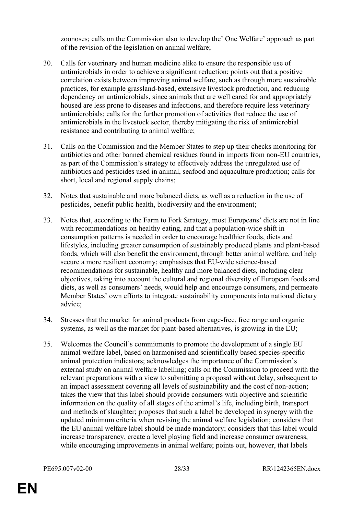zoonoses; calls on the Commission also to develop the' One Welfare' approach as part of the revision of the legislation on animal welfare;

- 30. Calls for veterinary and human medicine alike to ensure the responsible use of antimicrobials in order to achieve a significant reduction; points out that a positive correlation exists between improving animal welfare, such as through more sustainable practices, for example grassland-based, extensive livestock production, and reducing dependency on antimicrobials, since animals that are well cared for and appropriately housed are less prone to diseases and infections, and therefore require less veterinary antimicrobials; calls for the further promotion of activities that reduce the use of antimicrobials in the livestock sector, thereby mitigating the risk of antimicrobial resistance and contributing to animal welfare;
- 31. Calls on the Commission and the Member States to step up their checks monitoring for antibiotics and other banned chemical residues found in imports from non-EU countries, as part of the Commission's strategy to effectively address the unregulated use of antibiotics and pesticides used in animal, seafood and aquaculture production; calls for short, local and regional supply chains;
- 32. Notes that sustainable and more balanced diets, as well as a reduction in the use of pesticides, benefit public health, biodiversity and the environment;
- 33. Notes that, according to the Farm to Fork Strategy, most Europeans' diets are not in line with recommendations on healthy eating, and that a population-wide shift in consumption patterns is needed in order to encourage healthier foods, diets and lifestyles, including greater consumption of sustainably produced plants and plant-based foods, which will also benefit the environment, through better animal welfare, and help secure a more resilient economy; emphasises that EU-wide science-based recommendations for sustainable, healthy and more balanced diets, including clear objectives, taking into account the cultural and regional diversity of European foods and diets, as well as consumers' needs, would help and encourage consumers, and permeate Member States' own efforts to integrate sustainability components into national dietary advice;
- 34. Stresses that the market for animal products from cage-free, free range and organic systems, as well as the market for plant-based alternatives, is growing in the EU;
- 35. Welcomes the Council's commitments to promote the development of a single EU animal welfare label, based on harmonised and scientifically based species-specific animal protection indicators; acknowledges the importance of the Commission's external study on animal welfare labelling; calls on the Commission to proceed with the relevant preparations with a view to submitting a proposal without delay, subsequent to an impact assessment covering all levels of sustainability and the cost of non-action; takes the view that this label should provide consumers with objective and scientific information on the quality of all stages of the animal's life, including birth, transport and methods of slaughter; proposes that such a label be developed in synergy with the updated minimum criteria when revising the animal welfare legislation; considers that the EU animal welfare label should be made mandatory; considers that this label would increase transparency, create a level playing field and increase consumer awareness, while encouraging improvements in animal welfare; points out, however, that labels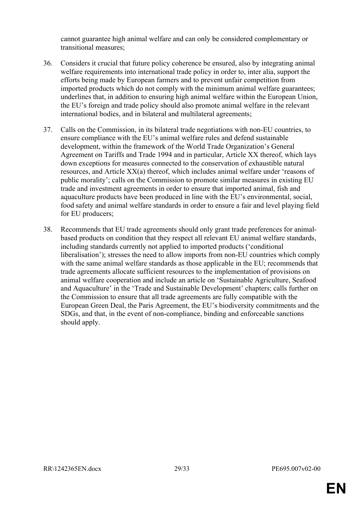cannot guarantee high animal welfare and can only be considered complementary or transitional measures;

- 36. Considers it crucial that future policy coherence be ensured, also by integrating animal welfare requirements into international trade policy in order to, inter alia, support the efforts being made by European farmers and to prevent unfair competition from imported products which do not comply with the minimum animal welfare guarantees; underlines that, in addition to ensuring high animal welfare within the European Union, the EU's foreign and trade policy should also promote animal welfare in the relevant international bodies, and in bilateral and multilateral agreements;
- 37. Calls on the Commission, in its bilateral trade negotiations with non-EU countries, to ensure compliance with the EU's animal welfare rules and defend sustainable development, within the framework of the World Trade Organization's General Agreement on Tariffs and Trade 1994 and in particular, Article XX thereof, which lays down exceptions for measures connected to the conservation of exhaustible natural resources, and Article XX(a) thereof, which includes animal welfare under 'reasons of public morality'; calls on the Commission to promote similar measures in existing EU trade and investment agreements in order to ensure that imported animal, fish and aquaculture products have been produced in line with the EU's environmental, social, food safety and animal welfare standards in order to ensure a fair and level playing field for EU producers;
- 38. Recommends that EU trade agreements should only grant trade preferences for animalbased products on condition that they respect all relevant EU animal welfare standards, including standards currently not applied to imported products ('conditional liberalisation'); stresses the need to allow imports from non-EU countries which comply with the same animal welfare standards as those applicable in the EU; recommends that trade agreements allocate sufficient resources to the implementation of provisions on animal welfare cooperation and include an article on 'Sustainable Agriculture, Seafood and Aquaculture' in the 'Trade and Sustainable Development' chapters; calls further on the Commission to ensure that all trade agreements are fully compatible with the European Green Deal, the Paris Agreement, the EU's biodiversity commitments and the SDGs, and that, in the event of non-compliance, binding and enforceable sanctions should apply.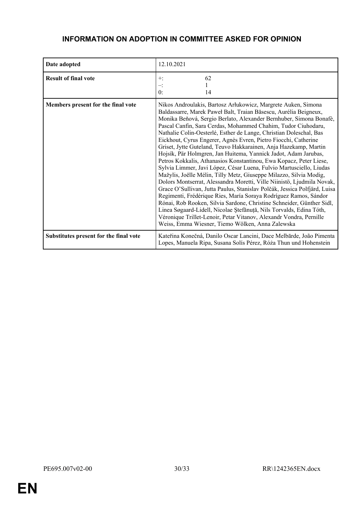# **INFORMATION ON ADOPTION IN COMMITTEE ASKED FOR OPINION**

| Date adopted                           | 12.10.2021                                                                                                                                                                                                                                                                                                                                                                                                                                                                                                                                                                                                                                                                                                                                                                                                                                                                                                                                                                                                                                                                                                                                                                                                                                                                       |
|----------------------------------------|----------------------------------------------------------------------------------------------------------------------------------------------------------------------------------------------------------------------------------------------------------------------------------------------------------------------------------------------------------------------------------------------------------------------------------------------------------------------------------------------------------------------------------------------------------------------------------------------------------------------------------------------------------------------------------------------------------------------------------------------------------------------------------------------------------------------------------------------------------------------------------------------------------------------------------------------------------------------------------------------------------------------------------------------------------------------------------------------------------------------------------------------------------------------------------------------------------------------------------------------------------------------------------|
| <b>Result of final vote</b>            | 62<br>$+$ :<br>$-$ :<br>0:<br>14                                                                                                                                                                                                                                                                                                                                                                                                                                                                                                                                                                                                                                                                                                                                                                                                                                                                                                                                                                                                                                                                                                                                                                                                                                                 |
| Members present for the final vote     | Nikos Androulakis, Bartosz Arłukowicz, Margrete Auken, Simona<br>Baldassarre, Marek Paweł Balt, Traian Băsescu, Aurélia Beigneux,<br>Monika Beňová, Sergio Berlato, Alexander Bernhuber, Simona Bonafè,<br>Pascal Canfin, Sara Cerdas, Mohammed Chahim, Tudor Ciuhodaru,<br>Nathalie Colin-Oesterlé, Esther de Lange, Christian Doleschal, Bas<br>Eickhout, Cyrus Engerer, Agnès Evren, Pietro Fiocchi, Catherine<br>Griset, Jytte Guteland, Teuvo Hakkarainen, Anja Hazekamp, Martin<br>Hojsík, Pär Holmgren, Jan Huitema, Yannick Jadot, Adam Jarubas,<br>Petros Kokkalis, Athanasios Konstantinou, Ewa Kopacz, Peter Liese,<br>Sylvia Limmer, Javi López, César Luena, Fulvio Martusciello, Liudas<br>Mažylis, Joëlle Mélin, Tilly Metz, Giuseppe Milazzo, Silvia Modig,<br>Dolors Montserrat, Alessandra Moretti, Ville Niinistö, Ljudmila Novak,<br>Grace O'Sullivan, Jutta Paulus, Stanislav Polčák, Jessica Polfjärd, Luisa<br>Regimenti, Frédérique Ries, María Soraya Rodríguez Ramos, Sándor<br>Rónai, Rob Rooken, Silvia Sardone, Christine Schneider, Günther Sidl,<br>Linea Søgaard-Lidell, Nicolae Ștefănuță, Nils Torvalds, Edina Tóth,<br>Véronique Trillet-Lenoir, Petar Vitanov, Alexandr Vondra, Pernille<br>Weiss, Emma Wiesner, Tiemo Wölken, Anna Zalewska |
| Substitutes present for the final vote | Kateřina Konečná, Danilo Oscar Lancini, Dace Melbārde, João Pimenta<br>Lopes, Manuela Ripa, Susana Solís Pérez, Róża Thun und Hohenstein                                                                                                                                                                                                                                                                                                                                                                                                                                                                                                                                                                                                                                                                                                                                                                                                                                                                                                                                                                                                                                                                                                                                         |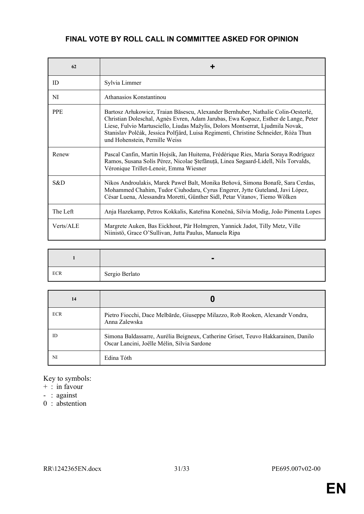# **FINAL VOTE BY ROLL CALL IN COMMITTEE ASKED FOR OPINION**

| 62         | ÷                                                                                                                                                                                                                                                                                                                                                                                  |
|------------|------------------------------------------------------------------------------------------------------------------------------------------------------------------------------------------------------------------------------------------------------------------------------------------------------------------------------------------------------------------------------------|
| ID         | Sylvia Limmer                                                                                                                                                                                                                                                                                                                                                                      |
| NI         | Athanasios Konstantinou                                                                                                                                                                                                                                                                                                                                                            |
| <b>PPE</b> | Bartosz Arłukowicz, Traian Băsescu, Alexander Bernhuber, Nathalie Colin-Oesterlé,<br>Christian Doleschal, Agnès Evren, Adam Jarubas, Ewa Kopacz, Esther de Lange, Peter<br>Liese, Fulvio Martusciello, Liudas Mažylis, Dolors Montserrat, Ljudmila Novak,<br>Stanislav Polčák, Jessica Polfjärd, Luisa Regimenti, Christine Schneider, Róża Thun<br>und Hohenstein, Pernille Weiss |
| Renew      | Pascal Canfin, Martin Hojsík, Jan Huitema, Frédérique Ries, María Soraya Rodríguez<br>Ramos, Susana Solís Pérez, Nicolae Ștefănuță, Linea Søgaard-Lidell, Nils Torvalds,<br>Véronique Trillet-Lenoir, Emma Wiesner                                                                                                                                                                 |
| S&D        | Nikos Androulakis, Marek Paweł Balt, Monika Beňová, Simona Bonafè, Sara Cerdas,<br>Mohammed Chahim, Tudor Ciuhodaru, Cyrus Engerer, Jytte Guteland, Javi López,<br>César Luena, Alessandra Moretti, Günther Sidl, Petar Vitanov, Tiemo Wölken                                                                                                                                      |
| The Left   | Anja Hazekamp, Petros Kokkalis, Kateřina Konečná, Silvia Modig, João Pimenta Lopes                                                                                                                                                                                                                                                                                                 |
| Verts/ALE  | Margrete Auken, Bas Eickhout, Pär Holmgren, Yannick Jadot, Tilly Metz, Ville<br>Niinistö, Grace O'Sullivan, Jutta Paulus, Manuela Ripa                                                                                                                                                                                                                                             |

|            | $\blacksquare$ |
|------------|----------------|
| <b>ECR</b> | Sergio Berlato |

| 14         |                                                                                                                                  |
|------------|----------------------------------------------------------------------------------------------------------------------------------|
| <b>ECR</b> | Pietro Fiocchi, Dace Melbārde, Giuseppe Milazzo, Rob Rooken, Alexandr Vondra,<br>Anna Zalewska                                   |
| ID         | Simona Baldassarre, Aurélia Beigneux, Catherine Griset, Teuvo Hakkarainen, Danilo<br>Oscar Lancini, Joëlle Mélin, Silvia Sardone |
| NI         | Edina Tóth                                                                                                                       |

Key to symbols:

- + : in favour
- : against
- 0 : abstention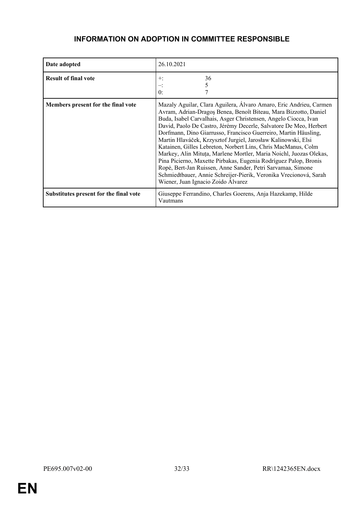# <span id="page-31-0"></span>**INFORMATION ON ADOPTION IN COMMITTEE RESPONSIBLE**

| Date adopted                           | 26.10.2021                                                                                                                                                                                                                                                                                                                                                                                                                                                                                                                                                                                                                                                                                                                                                                                              |
|----------------------------------------|---------------------------------------------------------------------------------------------------------------------------------------------------------------------------------------------------------------------------------------------------------------------------------------------------------------------------------------------------------------------------------------------------------------------------------------------------------------------------------------------------------------------------------------------------------------------------------------------------------------------------------------------------------------------------------------------------------------------------------------------------------------------------------------------------------|
| <b>Result of final vote</b>            | 36<br>$+:$<br>5<br>0:                                                                                                                                                                                                                                                                                                                                                                                                                                                                                                                                                                                                                                                                                                                                                                                   |
| Members present for the final vote     | Mazaly Aguilar, Clara Aguilera, Álvaro Amaro, Eric Andrieu, Carmen<br>Avram, Adrian-Dragos Benea, Benoît Biteau, Mara Bizzotto, Daniel<br>Buda, Isabel Carvalhais, Asger Christensen, Angelo Ciocca, Ivan<br>David, Paolo De Castro, Jérémy Decerle, Salvatore De Meo, Herbert<br>Dorfmann, Dino Giarrusso, Francisco Guerreiro, Martin Häusling,<br>Martin Hlaváček, Krzysztof Jurgiel, Jarosław Kalinowski, Elsi<br>Katainen, Gilles Lebreton, Norbert Lins, Chris MacManus, Colm<br>Markey, Alin Mituța, Marlene Mortler, Maria Noichl, Juozas Olekas,<br>Pina Picierno, Maxette Pirbakas, Eugenia Rodríguez Palop, Bronis<br>Ropė, Bert-Jan Ruissen, Anne Sander, Petri Sarvamaa, Simone<br>Schmiedtbauer, Annie Schreijer-Pierik, Veronika Vrecionová, Sarah<br>Wiener, Juan Ignacio Zoido Álvarez |
| Substitutes present for the final vote | Giuseppe Ferrandino, Charles Goerens, Anja Hazekamp, Hilde<br>Vautmans                                                                                                                                                                                                                                                                                                                                                                                                                                                                                                                                                                                                                                                                                                                                  |